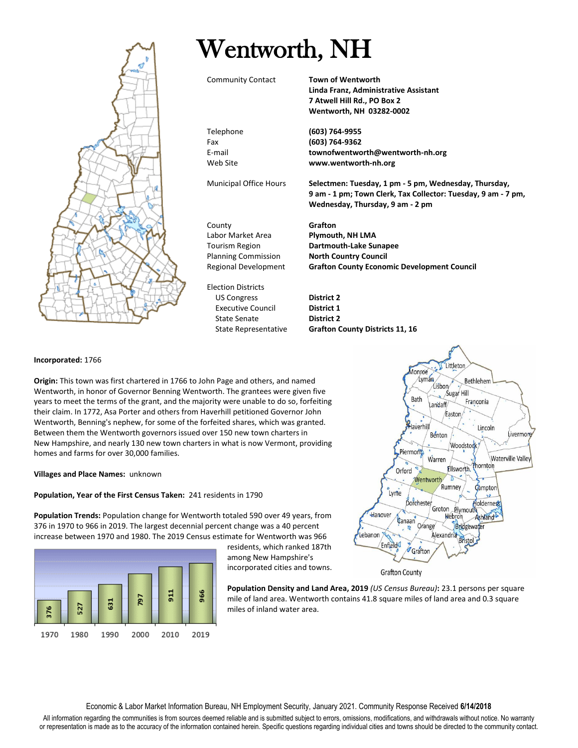

# Wentworth, NH

Community Contact **Town of Wentworth**

**Linda Franz, Administrative Assistant 7 Atwell Hill Rd., PO Box 2 Wentworth, NH 03282-0002**

Telephone **(603) 764-9955** Fax **(603) 764-9362** E-mail **townofwentworth@wentworth-nh.org** Web Site **www.wentworth-nh.org**

Municipal Office Hours **Selectmen: Tuesday, 1 pm - 5 pm, Wednesday, Thursday, 9 am - 1 pm; Town Clerk, Tax Collector: Tuesday, 9 am - 7 pm, Wednesday, Thursday, 9 am - 2 pm**

County **Grafton** Labor Market Area **Plymouth, NH LMA** Tourism Region **Dartmouth-Lake Sunapee** Planning Commission **North Country Council** Regional Development **Grafton County Economic Development Council**

Election Districts US Congress **District 2** Executive Council **District 1** State Senate **District 2**

# **Incorporated:** 1766

**Origin:** This town was first chartered in 1766 to John Page and others, and named Wentworth, in honor of Governor Benning Wentworth. The grantees were given five years to meet the terms of the grant, and the majority were unable to do so, forfeiting their claim. In 1772, Asa Porter and others from Haverhill petitioned Governor John Wentworth, Benning's nephew, for some of the forfeited shares, which was granted. Between them the Wentworth governors issued over 150 new town charters in New Hampshire, and nearly 130 new town charters in what is now Vermont, providing homes and farms for over 30,000 families.

# **Villages and Place Names:** unknown

# **Population, Year of the First Census Taken:** 241 residents in 1790

**Population Trends:** Population change for Wentworth totaled 590 over 49 years, from 376 in 1970 to 966 in 2019. The largest decennial percent change was a 40 percent increase between 1970 and 1980. The 2019 Census estimate for Wentworth was 966



residents, which ranked 187th among New Hampshire's incorporated cities and towns.



Hanover

Enfield

**Jebanon** 

Canaan

**Grafton County** 

Orange

Grafton

Hebron

Bridgewater Alexandria<br>Bristol

Ashland

mile of land area. Wentworth contains 41.8 square miles of land area and 0.3 square miles of inland water area.

State Representative **Grafton County Districts 11, 16** Littleton Monroe Lyman Bethlehem Lisbon Sugar Hill Bath Franconia andaff Easton Haverhill Lincoln Benton Woodstock Piermont Warren Waterville Valley hornton Ellsworth. Orford D Wentworth Rumney **Ç**amptor Lyme Dorchester loldernes Groton Plymouth

Livermore

Economic & Labor Market Information Bureau, NH Employment Security, January 2021. Community Response Received **6/14/2018**

All information regarding the communities is from sources deemed reliable and is submitted subject to errors, omissions, modifications, and withdrawals without notice. No warranty or representation is made as to the accuracy of the information contained herein. Specific questions regarding individual cities and towns should be directed to the community contact.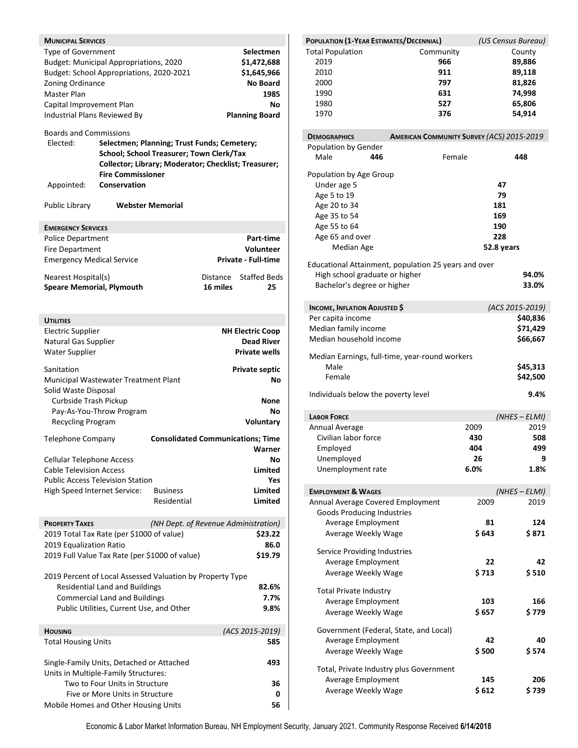| <b>MUNICIPAL SERVICES</b>                 |                                                           |                                                                                                                                                 |          |                            |
|-------------------------------------------|-----------------------------------------------------------|-------------------------------------------------------------------------------------------------------------------------------------------------|----------|----------------------------|
| Type of Government                        | Budget: Municipal Appropriations, 2020                    |                                                                                                                                                 |          | Selectmen<br>\$1,472,688   |
|                                           | Budget: School Appropriations, 2020-2021                  |                                                                                                                                                 |          | \$1,645,966                |
| Zoning Ordinance                          |                                                           |                                                                                                                                                 |          | <b>No Board</b>            |
| <b>Master Plan</b>                        |                                                           |                                                                                                                                                 |          | 1985                       |
| Capital Improvement Plan                  |                                                           |                                                                                                                                                 |          | No                         |
| Industrial Plans Reviewed By              |                                                           |                                                                                                                                                 |          | <b>Planning Board</b>      |
| <b>Boards and Commissions</b>             |                                                           |                                                                                                                                                 |          |                            |
| Elected:                                  | <b>Fire Commissioner</b>                                  | Selectmen; Planning; Trust Funds; Cemetery;<br>School; School Treasurer; Town Clerk/Tax<br>Collector; Library; Moderator; Checklist; Treasurer; |          |                            |
| Appointed:                                | Conservation                                              |                                                                                                                                                 |          |                            |
| Public Library                            |                                                           | <b>Webster Memorial</b>                                                                                                                         |          |                            |
| <b>EMERGENCY SERVICES</b>                 |                                                           |                                                                                                                                                 |          |                            |
| <b>Police Department</b>                  |                                                           |                                                                                                                                                 |          | Part-time                  |
| <b>Fire Department</b>                    |                                                           |                                                                                                                                                 |          | <b>Volunteer</b>           |
| <b>Emergency Medical Service</b>          |                                                           |                                                                                                                                                 |          | <b>Private - Full-time</b> |
| Nearest Hospital(s)                       |                                                           |                                                                                                                                                 | Distance | <b>Staffed Beds</b>        |
| <b>Speare Memorial, Plymouth</b>          |                                                           |                                                                                                                                                 | 16 miles | 25                         |
|                                           |                                                           |                                                                                                                                                 |          |                            |
|                                           |                                                           |                                                                                                                                                 |          |                            |
| <b>UTILITIES</b>                          |                                                           |                                                                                                                                                 |          |                            |
| <b>Electric Supplier</b>                  |                                                           |                                                                                                                                                 |          | NH Electric Coop           |
| Natural Gas Supplier                      |                                                           |                                                                                                                                                 |          | <b>Dead River</b>          |
| <b>Water Supplier</b>                     |                                                           |                                                                                                                                                 |          | <b>Private wells</b>       |
| Sanitation                                |                                                           |                                                                                                                                                 |          | <b>Private septic</b>      |
|                                           | Municipal Wastewater Treatment Plant                      |                                                                                                                                                 |          | Νo                         |
| Solid Waste Disposal                      |                                                           |                                                                                                                                                 |          |                            |
| Curbside Trash Pickup                     |                                                           |                                                                                                                                                 |          | None                       |
|                                           | Pay-As-You-Throw Program                                  |                                                                                                                                                 |          | No                         |
| Recycling Program                         |                                                           |                                                                                                                                                 |          | Voluntary                  |
| Telephone Company                         |                                                           | <b>Consolidated Communications; Time</b>                                                                                                        |          |                            |
|                                           |                                                           |                                                                                                                                                 |          | Warner                     |
| <b>Cellular Telephone Access</b>          |                                                           |                                                                                                                                                 |          | No                         |
| <b>Cable Television Access</b>            |                                                           |                                                                                                                                                 |          | Limited                    |
|                                           | <b>Public Access Television Station</b>                   |                                                                                                                                                 |          | Yes                        |
| High Speed Internet Service:              |                                                           | <b>Business</b>                                                                                                                                 |          | Limited                    |
|                                           |                                                           | Residential                                                                                                                                     |          | <b>Limited</b>             |
| <b>PROPERTY TAXES</b>                     |                                                           | (NH Dept. of Revenue Administration)                                                                                                            |          |                            |
|                                           | 2019 Total Tax Rate (per \$1000 of value)                 |                                                                                                                                                 |          | \$23.22                    |
| 2019 Equalization Ratio                   |                                                           |                                                                                                                                                 |          | 86.0                       |
|                                           | 2019 Full Value Tax Rate (per \$1000 of value)            |                                                                                                                                                 |          | \$19.79                    |
|                                           | 2019 Percent of Local Assessed Valuation by Property Type |                                                                                                                                                 |          |                            |
|                                           | <b>Residential Land and Buildings</b>                     |                                                                                                                                                 |          | 82.6%                      |
|                                           | <b>Commercial Land and Buildings</b>                      |                                                                                                                                                 |          | 7.7%                       |
|                                           | Public Utilities, Current Use, and Other                  |                                                                                                                                                 |          | 9.8%                       |
|                                           |                                                           |                                                                                                                                                 |          |                            |
| <b>HOUSING</b>                            |                                                           |                                                                                                                                                 |          | (ACS 2015-2019)            |
| <b>Total Housing Units</b>                |                                                           |                                                                                                                                                 |          | 585                        |
| Single-Family Units, Detached or Attached |                                                           |                                                                                                                                                 |          | 493                        |
|                                           | Units in Multiple-Family Structures:                      |                                                                                                                                                 |          |                            |
|                                           | Two to Four Units in Structure                            |                                                                                                                                                 |          | 36                         |
|                                           | Five or More Units in Structure                           |                                                                                                                                                 |          | 0                          |
|                                           | Mobile Homes and Other Housing Units                      |                                                                                                                                                 |          | 56                         |
|                                           |                                                           |                                                                                                                                                 |          |                            |

| POPULATION (1-YEAR ESTIMATES/DECENNIAL)                       |                                                      | (US Census Bureau)      |
|---------------------------------------------------------------|------------------------------------------------------|-------------------------|
| <b>Total Population</b>                                       | Community                                            | County                  |
| 2019                                                          | 966                                                  | 89,886                  |
| 2010                                                          | 911                                                  | 89,118                  |
| 2000                                                          | 797                                                  | 81,826                  |
| 1990                                                          | 631                                                  | 74,998                  |
| 1980                                                          | 527                                                  | 65,806                  |
| 1970                                                          | 376                                                  | 54,914                  |
| <b>DEMOGRAPHICS</b>                                           | <b>AMERICAN COMMUNITY SURVEY (ACS) 2015-2019</b>     |                         |
| Population by Gender                                          |                                                      |                         |
| Male<br>446                                                   | Female                                               | 448                     |
| Population by Age Group                                       |                                                      |                         |
| Under age 5                                                   |                                                      | 47                      |
| Age 5 to 19                                                   |                                                      | 79                      |
| Age 20 to 34                                                  |                                                      | 181                     |
| Age 35 to 54                                                  |                                                      | 169                     |
| Age 55 to 64                                                  |                                                      | 190                     |
| Age 65 and over                                               |                                                      | 228                     |
| Median Age                                                    |                                                      | 52.8 years              |
|                                                               | Educational Attainment, population 25 years and over |                         |
| High school graduate or higher<br>Bachelor's degree or higher |                                                      | 94.0%<br>33.0%          |
|                                                               |                                                      |                         |
| <b>INCOME, INFLATION ADJUSTED \$</b>                          |                                                      | (ACS 2015-2019)         |
| Per capita income                                             |                                                      | \$40,836                |
| Median family income                                          |                                                      | \$71,429                |
| Median household income                                       |                                                      | \$66,667                |
|                                                               |                                                      |                         |
|                                                               | Median Earnings, full-time, year-round workers       |                         |
| Male                                                          |                                                      | \$45,313                |
| Female                                                        |                                                      | \$42,500                |
| Individuals below the poverty level                           |                                                      | 9.4%                    |
|                                                               |                                                      |                         |
| <b>LABOR FORCE</b><br>Annual Average                          | 2009                                                 | $(NHES - ELMI)$<br>2019 |
| Civilian labor force                                          | 430                                                  | 508                     |
| Employed                                                      | 404                                                  | 499                     |
|                                                               | 26                                                   | q                       |
| Unemployed                                                    |                                                      |                         |
| Unemployment rate                                             | 6.0%                                                 | 1.8%                    |
| <b>EMPLOYMENT &amp; WAGES</b>                                 |                                                      | $(NHES - ELMI)$         |
| Annual Average Covered Employment                             | 2009                                                 | 2019                    |
| <b>Goods Producing Industries</b>                             |                                                      |                         |
| Average Employment                                            |                                                      | 81<br>124               |
| Average Weekly Wage                                           | \$643                                                | \$ 871                  |
|                                                               |                                                      |                         |
| Service Providing Industries<br>Average Employment            |                                                      |                         |
|                                                               |                                                      | 22<br>42                |
| Average Weekly Wage                                           | \$713                                                | \$510                   |
| <b>Total Private Industry</b>                                 |                                                      |                         |
| Average Employment                                            |                                                      | 103<br>166              |
| Average Weekly Wage                                           | \$ 657                                               | \$ 779                  |
| Government (Federal, State, and Local)                        |                                                      |                         |
| Average Employment                                            |                                                      | 42<br>40                |
| Average Weekly Wage                                           | \$500                                                | \$574                   |
|                                                               |                                                      |                         |
| Total, Private Industry plus Government                       |                                                      |                         |
| Average Employment                                            |                                                      | 145<br>206              |
| Average Weekly Wage                                           | \$612                                                | \$ 739                  |
|                                                               |                                                      |                         |